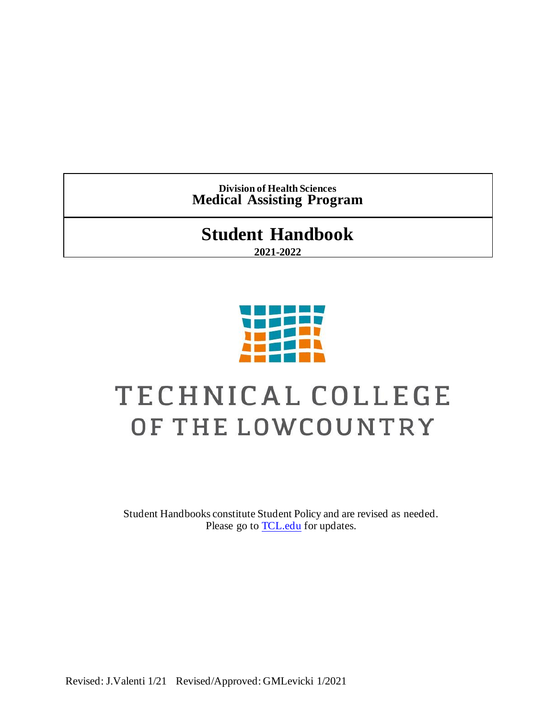**Division of Health Sciences Medical Assisting Program**

# **Student Handbook**

**2021-2022**



# TECHNICAL COLLEGE OF THE LOWCOUNTRY

Student Handbooks constitute Student Policy and are revised as needed. Please go to **TCL**.edu for updates.

Revised: J.Valenti 1/21 Revised/Approved: GMLevicki 1/2021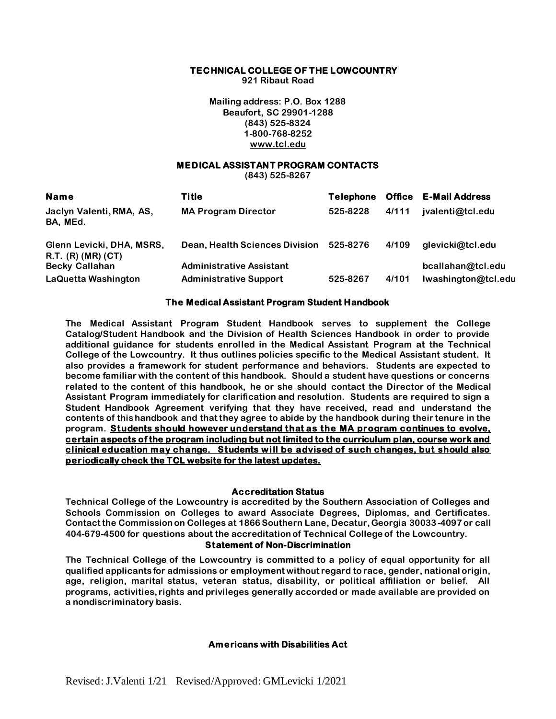#### **TECHNICAL COLLEGE OF THE LOWCOUNTRY**

**921 Ribaut Road**

**Mailing address: P.O. Box 1288 Beaufort, SC 29901-1288 (843) 525-8324 1-800-768-8252 www.tcl.edu**

# **MEDICAL ASSISTANT PROGRAM CONTACTS**

**(843) 525-8267**

| <b>Name</b>                                     | <b>Title</b>                    | <b>Telephone</b> |       | <b>Office E-Mail Address</b> |
|-------------------------------------------------|---------------------------------|------------------|-------|------------------------------|
| Jaclyn Valenti, RMA, AS,<br>BA, MEd.            | <b>MA Program Director</b>      | 525-8228         | 4/111 | jvalenti@tcl.edu             |
| Glenn Levicki, DHA, MSRS,<br>R.T. (R) (MR) (CT) | Dean, Health Sciences Division  | 525-8276         | 4/109 | glevicki@tcl.edu             |
| <b>Becky Callahan</b>                           | <b>Administrative Assistant</b> |                  |       | bcallahan@tcl.edu            |
| <b>LaQuetta Washington</b>                      | <b>Administrative Support</b>   | 525-8267         | 4/101 | Iwashington@tcl.edu          |

#### **The Medical Assistant Program Student Handbook**

**The Medical Assistant Program Student Handbook serves to supplement the College Catalog/Student Handbook and the Division of Health Sciences Handbook in order to provide additional guidance for students enrolled in the Medical Assistant Program at the Technical College of the Lowcountry. It thus outlines policies specific to the Medical Assistant student. It also provides a framework for student performance and behaviors. Students are expected to become familiar with the content of this handbook. Should a student have questions or concerns related to the content of this handbook, he or she should contact the Director of the Medical Assistant Program immediately for clarification and resolution. Students are required to sign a Student Handbook Agreement verifying that they have received, read and understand the contents of this handbook and that they agree to abide by the handbook during their tenure in the program. Students should however understand that as the MA program continues to evolve, certain aspects of the program including but not limited to the curriculum plan, course work and clinical education may change. Students will be advised of such changes, but should also periodically check the TCL website for the latest updates.**

#### **Accreditation Status**

**Technical College of the Lowcountry is accredited by the Southern Association of Colleges and Schools Commission on Colleges to award Associate Degrees, Diplomas, and Certificates. Contact the Commission on Colleges at 1866 Southern Lane, Decatur, Georgia 30033-4097 or call 404-679-4500 for questions about the accreditation of Technical College of the Lowcountry.**

#### **Statement of Non-Discrimination**

**The Technical College of the Lowcountry is committed to a policy of equal opportunity for all qualified applicants for admissions or employment without regard to race, gender, national origin, age, religion, marital status, veteran status, disability, or political affiliation or belief. All programs, activities, rights and privileges generally accorded or made available are provided on a nondiscriminatory basis.**

#### **Americans with Disabilities Act**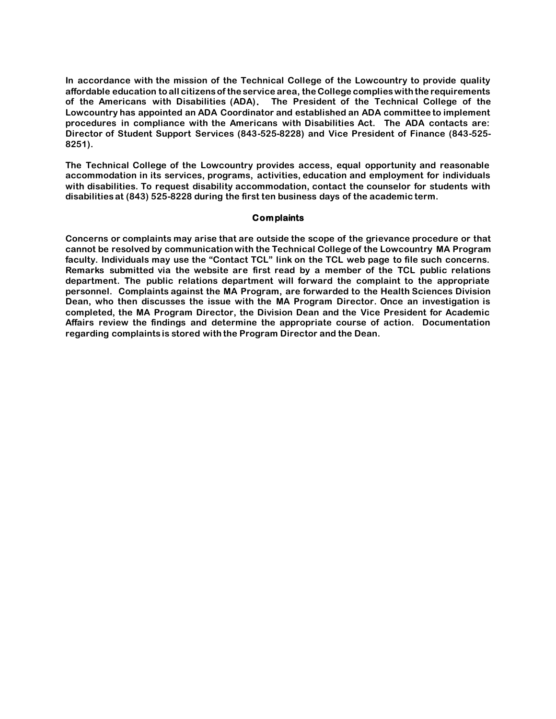**In accordance with the mission of the Technical College of the Lowcountry to provide quality affordable education to all citizens of the service area, the College complies with the requirements of the Americans with Disabilities (ADA). The President of the Technical College of the Lowcountry has appointed an ADA Coordinator and established an ADA committee to implement procedures in compliance with the Americans with Disabilities Act. The ADA contacts are: Director of Student Support Services (843-525-8228) and Vice President of Finance (843-525- 8251).** 

**The Technical College of the Lowcountry provides access, equal opportunity and reasonable accommodation in its services, programs, activities, education and employment for individuals with disabilities. To request disability accommodation, contact the counselor for students with disabilities at (843) 525-8228 during the first ten business days of the academic term.** 

#### **Complaints**

**Concerns or complaints may arise that are outside the scope of the grievance procedure or that cannot be resolved by communication with the Technical College of the Lowcountry MA Program faculty. Individuals may use the "Contact TCL" link on the TCL web page to file such concerns. Remarks submitted via the website are first read by a member of the TCL public relations department. The public relations department will forward the complaint to the appropriate personnel. Complaints against the MA Program, are forwarded to the Health Sciences Division Dean, who then discusses the issue with the MA Program Director. Once an investigation is completed, the MA Program Director, the Division Dean and the Vice President for Academic Affairs review the findings and determine the appropriate course of action. Documentation regarding complaints is stored with the Program Director and the Dean.**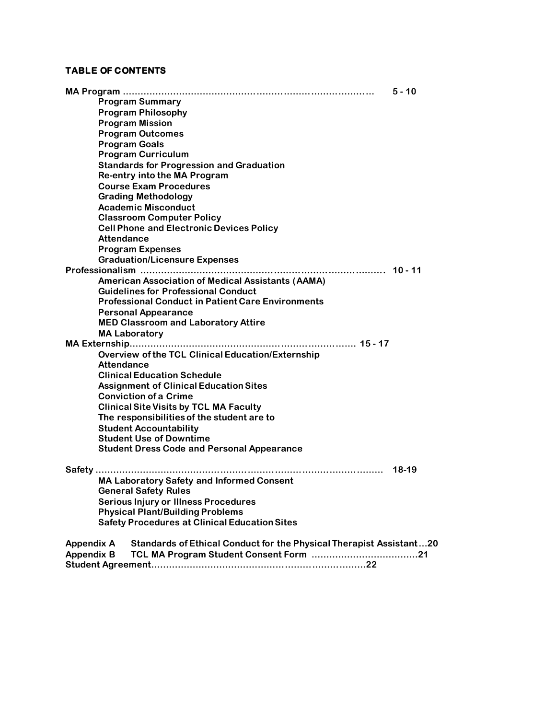# **TABLE OF CONTENTS**

|                                                                                                 | $5 - 10$ |
|-------------------------------------------------------------------------------------------------|----------|
| <b>Program Summary</b>                                                                          |          |
| <b>Program Philosophy</b>                                                                       |          |
| <b>Program Mission</b>                                                                          |          |
| <b>Program Outcomes</b>                                                                         |          |
| <b>Program Goals</b>                                                                            |          |
| <b>Program Curriculum</b>                                                                       |          |
| <b>Standards for Progression and Graduation</b>                                                 |          |
| Re-entry into the MA Program                                                                    |          |
| <b>Course Exam Procedures</b>                                                                   |          |
| <b>Grading Methodology</b>                                                                      |          |
| <b>Academic Misconduct</b>                                                                      |          |
| <b>Classroom Computer Policy</b>                                                                |          |
| <b>Cell Phone and Electronic Devices Policy</b>                                                 |          |
| <b>Attendance</b>                                                                               |          |
| <b>Program Expenses</b>                                                                         |          |
| <b>Graduation/Licensure Expenses</b>                                                            |          |
|                                                                                                 |          |
| <b>American Association of Medical Assistants (AAMA)</b>                                        |          |
| <b>Guidelines for Professional Conduct</b>                                                      |          |
| <b>Professional Conduct in Patient Care Environments</b>                                        |          |
| <b>Personal Appearance</b>                                                                      |          |
| <b>MED Classroom and Laboratory Attire</b>                                                      |          |
| <b>MA Laboratory</b>                                                                            |          |
|                                                                                                 |          |
| <b>Overview of the TCL Clinical Education/Externship</b>                                        |          |
| <b>Attendance</b>                                                                               |          |
| <b>Clinical Education Schedule</b>                                                              |          |
| <b>Assignment of Clinical Education Sites</b>                                                   |          |
| <b>Conviction of a Crime</b>                                                                    |          |
| <b>Clinical Site Visits by TCL MA Faculty</b>                                                   |          |
| The responsibilities of the student are to                                                      |          |
| <b>Student Accountability</b>                                                                   |          |
| <b>Student Use of Downtime</b>                                                                  |          |
| <b>Student Dress Code and Personal Appearance</b>                                               |          |
|                                                                                                 |          |
| Safety                                                                                          | 18-19    |
| <b>MA Laboratory Safety and Informed Consent</b>                                                |          |
| <b>General Safety Rules</b>                                                                     |          |
| <b>Serious Injury or Illness Procedures</b>                                                     |          |
| <b>Physical Plant/Building Problems</b>                                                         |          |
| <b>Safety Procedures at Clinical Education Sites</b>                                            |          |
| <b>Appendix A</b><br><b>Standards of Ethical Conduct for the Physical Therapist Assistant20</b> |          |
| <b>Appendix B</b>                                                                               |          |
|                                                                                                 |          |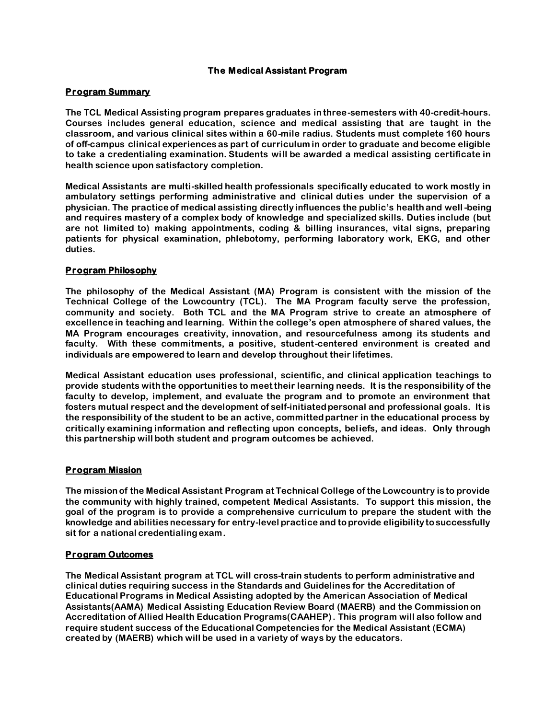# **The Medical Assistant Program**

#### **Program Summary**

**The TCL Medical Assisting program prepares graduates in three-semesters with 40-credit-hours. Courses includes general education, science and medical assisting that are taught in the classroom, and various clinical sites within a 60-mile radius. Students must complete 160 hours of off-campus clinical experiences as part of curriculum in order to graduate and become eligible to take a credentialing examination. Students will be awarded a medical assisting certificate in health science upon satisfactory completion.**

**Medical Assistants are multi-skilled health professionals specifically educated to work mostly in ambulatory settings performing administrative and clinical duties under the supervision of a physician. The practice of medical assisting directly influences the public's health and well-being and requires mastery of a complex body of knowledge and specialized skills. Duties include (but are not limited to) making appointments, coding & billing insurances, vital signs, preparing patients for physical examination, phlebotomy, performing laboratory work, EKG, and other duties.**

#### **Program Philosophy**

**The philosophy of the Medical Assistant (MA) Program is consistent with the mission of the Technical College of the Lowcountry (TCL). The MA Program faculty serve the profession, community and society. Both TCL and the MA Program strive to create an atmosphere of excellence in teaching and learning. Within the college's open atmosphere of shared values, the MA Program encourages creativity, innovation, and resourcefulness among its students and faculty. With these commitments, a positive, student-centered environment is created and individuals are empowered to learn and develop throughout their lifetimes.** 

**Medical Assistant education uses professional, scientific, and clinical application teachings to provide students with the opportunities to meet their learning needs. It is the responsibility of the faculty to develop, implement, and evaluate the program and to promote an environment that fosters mutual respect and the development of self-initiated personal and professional goals. It is the responsibility of the student to be an active, committed partner in the educational process by critically examining information and reflecting upon concepts, beliefs, and ideas. Only through this partnership will both student and program outcomes be achieved.**

# **Program Mission**

**The mission of the Medical Assistant Program at Technical College of the Lowcountry is to provide the community with highly trained, competent Medical Assistants. To support this mission, the goal of the program is to provide a comprehensive curriculum to prepare the student with the knowledge and abilities necessary for entry-level practice and to provide eligibility to successfully sit for a national credentialing exam.** 

#### **Program Outcomes**

**The Medical Assistant program at TCL will cross-train students to perform administrative and clinical duties requiring success in the Standards and Guidelines for the Accreditation of Educational Programs in Medical Assisting adopted by the American Association of Medical Assistants(AAMA) Medical Assisting Education Review Board (MAERB) and the Commission on Accreditation of Allied Health Education Programs(CAAHEP). This program will also follow and require student success of the Educational Competencies for the Medical Assistant (ECMA) created by (MAERB) which will be used in a variety of ways by the educators.**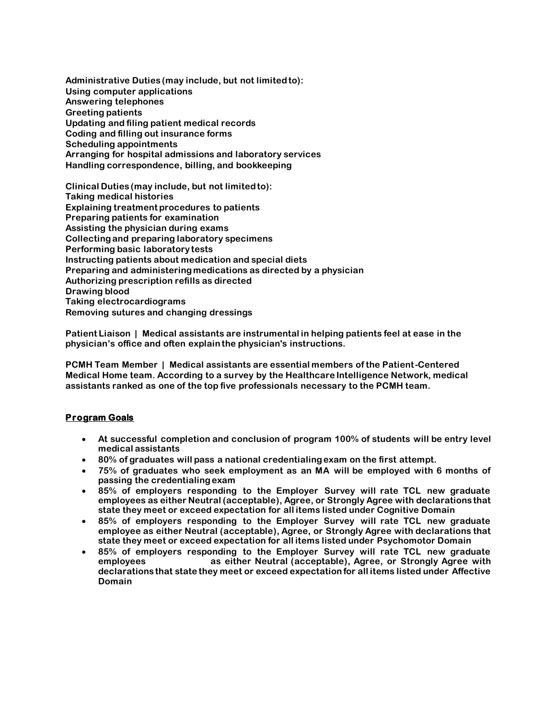**Administrative Duties (may include, but not limited to): Using computer applications Answering telephones Greeting patients Updating and filing patient medical records Coding and filling out insurance forms Scheduling appointments Arranging for hospital admissions and laboratory services Handling correspondence, billing, and bookkeeping** 

**Clinical Duties (may include, but not limited to): Taking medical histories Explaining treatment procedures to patients Preparing patients for examination Assisting the physician during exams Collecting and preparing laboratory specimens Performing basic laboratory tests Instructing patients about medication and special diets Preparing and administering medications as directed by a physician Authorizing prescription refills as directed Drawing blood Taking electrocardiograms Removing sutures and changing dressings** 

**Patient Liaison | Medical assistants are instrumental in helping patients feel at ease in the physician's office and often explain the physician's instructions.**

**PCMH Team Member | Medical assistants are essential members of the Patient-Centered Medical Home team. According to a survey by the Healthcare Intelligence Network, medical assistants ranked as one of the top five professionals necessary to the PCMH team.**

# **Program Goals**

- **At successful completion and conclusion of program 100% of students will be entry level medical assistants**
- **80% of graduates will pass a national credentialing exam on the first attempt.**
- **75% of graduates who seek employment as an MA will be employed with 6 months of passing the credentialing exam**
- **85% of employers responding to the Employer Survey will rate TCL new graduate employees as either Neutral (acceptable), Agree, or Strongly Agree with declarations that state they meet or exceed expectation for all items listed under Cognitive Domain**
- **85% of employers responding to the Employer Survey will rate TCL new graduate employee as either Neutral (acceptable), Agree, or Strongly Agree with declarations that state they meet or exceed expectation for all items listed under Psychomotor Domain**
- **85% of employers responding to the Employer Survey will rate TCL new graduate employees as either Neutral (acceptable), Agree, or Strongly Agree with declarations that state they meet or exceed expectation for all items listed under Affective Domain**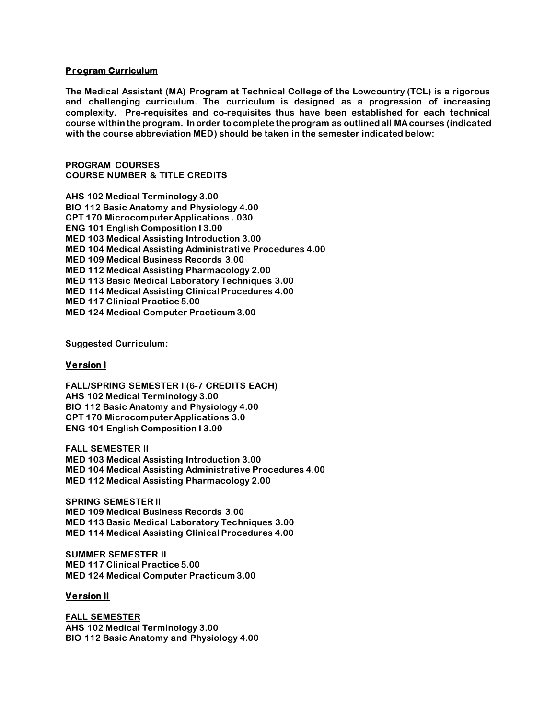#### **Program Curriculum**

**The Medical Assistant (MA) Program at Technical College of the Lowcountry (TCL) is a rigorous and challenging curriculum. The curriculum is designed as a progression of increasing complexity. Pre-requisites and co-requisites thus have been established for each technical course within the program. In order to complete the program as outlined all MA courses (indicated with the course abbreviation MED) should be taken in the semester indicated below:** 

**PROGRAM COURSES COURSE NUMBER & TITLE CREDITS**

**AHS 102 Medical Terminology 3.00 BIO 112 Basic Anatomy and Physiology 4.00 CPT 170 Microcomputer Applications . 030 ENG 101 English Composition I 3.00 MED 103 Medical Assisting Introduction 3.00 MED 104 Medical Assisting Administrative Procedures 4.00 MED 109 Medical Business Records 3.00 MED 112 Medical Assisting Pharmacology 2.00 MED 113 Basic Medical Laboratory Techniques 3.00 MED 114 Medical Assisting Clinical Procedures 4.00 MED 117 Clinical Practice 5.00 MED 124 Medical Computer Practicum 3.00**

**Suggested Curriculum:**

#### **Version I**

**FALL/SPRING SEMESTER I (6-7 CREDITS EACH) AHS 102 Medical Terminology 3.00 BIO 112 Basic Anatomy and Physiology 4.00 CPT 170 Microcomputer Applications 3.0 ENG 101 English Composition I 3.00**

**FALL SEMESTER II MED 103 Medical Assisting Introduction 3.00 MED 104 Medical Assisting Administrative Procedures 4.00 MED 112 Medical Assisting Pharmacology 2.00**

**SPRING SEMESTER II MED 109 Medical Business Records 3.00 MED 113 Basic Medical Laboratory Techniques 3.00 MED 114 Medical Assisting Clinical Procedures 4.00**

**SUMMER SEMESTER II MED 117 Clinical Practice 5.00 MED 124 Medical Computer Practicum 3.00**

#### **Version II**

**FALL SEMESTER AHS 102 Medical Terminology 3.00 BIO 112 Basic Anatomy and Physiology 4.00**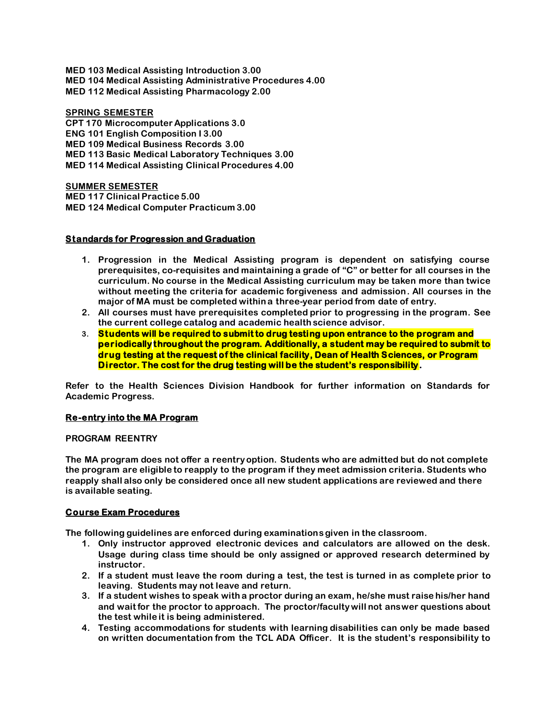**MED 103 Medical Assisting Introduction 3.00 MED 104 Medical Assisting Administrative Procedures 4.00 MED 112 Medical Assisting Pharmacology 2.00**

**SPRING SEMESTER CPT 170 Microcomputer Applications 3.0 ENG 101 English Composition I 3.00 MED 109 Medical Business Records 3.00 MED 113 Basic Medical Laboratory Techniques 3.00 MED 114 Medical Assisting Clinical Procedures 4.00**

**SUMMER SEMESTER MED 117 Clinical Practice 5.00 MED 124 Medical Computer Practicum 3.00**

#### **Standards for Progression and Graduation**

- **1. Progression in the Medical Assisting program is dependent on satisfying course prerequisites, co-requisites and maintaining a grade of "C" or better for all courses in the curriculum. No course in the Medical Assisting curriculum may be taken more than twice without meeting the criteria for academic forgiveness and admission. All courses in the major of MA must be completed within a three-year period from date of entry.**
- **2. All courses must have prerequisites completed prior to progressing in the program. See the current college catalog and academic health science advisor.**
- **3. Students will be required to submit to drug testing upon entrance to the program and periodically throughout the program. Additionally, a student may be required to submit to drug testing at the request of the clinical facility, Dean of Health Sciences, or Program Director. The cost for the drug testing will be the student's responsibility.**

**Refer to the Health Sciences Division Handbook for further information on Standards for Academic Progress.**

#### **Re-entry into the MA Program**

#### **PROGRAM REENTRY**

**The MA program does not offer a reentry option. Students who are admitted but do not complete the program are eligible to reapply to the program if they meet admission criteria. Students who reapply shall also only be considered once all new student applications are reviewed and there is available seating.**

#### **Course Exam Procedures**

**The following guidelines are enforced during examinations given in the classroom.** 

- **1. Only instructor approved electronic devices and calculators are allowed on the desk. Usage during class time should be only assigned or approved research determined by instructor.**
- **2. If a student must leave the room during a test, the test is turned in as complete prior to leaving. Students may not leave and return.**
- **3. If a student wishes to speak with a proctor during an exam, he/she must raise his/her hand and wait for the proctor to approach. The proctor/faculty will not answer questions about the test while it is being administered.**
- **4. Testing accommodations for students with learning disabilities can only be made based on written documentation from the TCL ADA Officer. It is the student's responsibility to**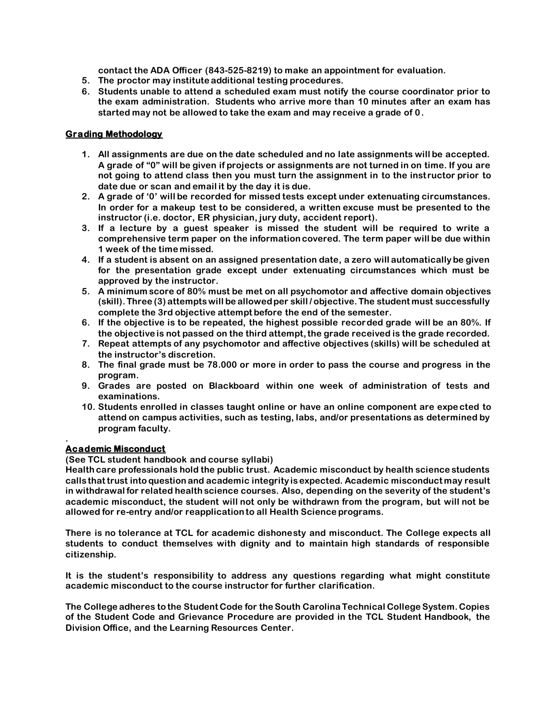**contact the ADA Officer (843-525-8219) to make an appointment for evaluation.** 

- **5. The proctor may institute additional testing procedures.**
- **6. Students unable to attend a scheduled exam must notify the course coordinator prior to the exam administration. Students who arrive more than 10 minutes after an exam has started may not be allowed to take the exam and may receive a grade of 0.**

# **Grading Methodology**

- **1. All assignments are due on the date scheduled and no late assignments will be accepted. A grade of "0" will be given if projects or assignments are not turned in on time. If you are not going to attend class then you must turn the assignment in to the inst ructor prior to date due or scan and email it by the day it is due.**
- **2. A grade of '0' will be recorded for missed tests except under extenuating circumstances. In order for a makeup test to be considered, a written excuse must be presented to the instructor (i.e. doctor, ER physician, jury duty, accident report).**
- **3. If a lecture by a guest speaker is missed the student will be required to write a comprehensive term paper on the information covered. The term paper will be due within 1 week of the time missed.**
- **4. If a student is absent on an assigned presentation date, a zero will automatically be given for the presentation grade except under extenuating circumstances which must be approved by the instructor.**
- **5. A minimum score of 80% must be met on all psychomotor and affective domain objectives (skill). Three (3) attempts will be allowed per skill / objective. The student must successfully complete the 3rd objective attempt before the end of the semester.**
- **6. If the objective is to be repeated, the highest possible recorded grade will be an 80%. If the objective is not passed on the third attempt, the grade received is the grade recorded.**
- **7. Repeat attempts of any psychomotor and affective objectives (skills) will be scheduled at the instructor's discretion.**
- **8. The final grade must be 78.000 or more in order to pass the course and progress in the program.**
- **9. Grades are posted on Blackboard within one week of administration of tests and examinations.**
- **10. Students enrolled in classes taught online or have an online component are expe cted to attend on campus activities, such as testing, labs, and/or presentations as determined by program faculty.**

#### **. Academic Misconduct**

# **(See TCL student handbook and course syllabi)**

**Health care professionals hold the public trust. Academic misconduct by health science students calls that trust into question and academic integrity is expected. Academic misconduct may result in withdrawal for related health science courses. Also, depending on the severity of the student's academic misconduct, the student will not only be withdrawn from the program, but will not be allowed for re-entry and/or reapplication to all Health Science programs.** 

**There is no tolerance at TCL for academic dishonesty and misconduct. The College expects all students to conduct themselves with dignity and to maintain high standards of responsible citizenship.** 

**It is the student's responsibility to address any questions regarding what might constitute academic misconduct to the course instructor for further clarification.** 

**The College adheres to the Student Code for the South Carolina Technical College System. Copies of the Student Code and Grievance Procedure are provided in the TCL Student Handbook, the Division Office, and the Learning Resources Center.**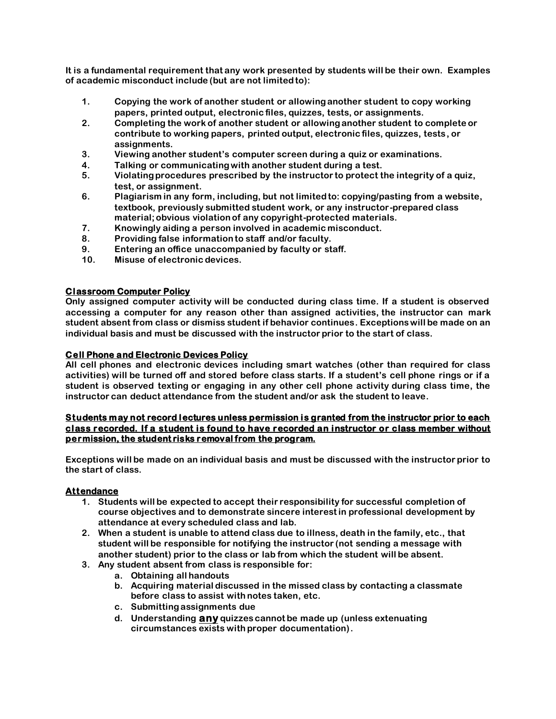**It is a fundamental requirement that any work presented by students will be their own. Examples of academic misconduct include (but are not limited to):**

- **1. Copying the work of another student or allowing another student to copy working papers, printed output, electronic files, quizzes, tests, or assignments.**
- **2. Completing the work of another student or allowing another student to complete or contribute to working papers, printed output, electronic files, quizzes, tests, or assignments.**
- **3. Viewing another student's computer screen during a quiz or examinations.**
- **4. Talking or communicating with another student during a test.**
- **5. Violating procedures prescribed by the instructor to protect the integrity of a quiz, test, or assignment.**
- **6. Plagiarism in any form, including, but not limited to: copying/pasting from a website, textbook, previously submitted student work, or any instructor-prepared class material; obvious violation of any copyright-protected materials.**
- **7. Knowingly aiding a person involved in academic misconduct.**
- **8. Providing false information to staff and/or faculty.**
- **9. Entering an office unaccompanied by faculty or staff.**
- **10. Misuse of electronic devices.**

#### **Classroom Computer Policy**

**Only assigned computer activity will be conducted during class time. If a student is observed accessing a computer for any reason other than assigned activities, the instructor can mark student absent from class or dismiss student if behavior continues. Exceptions will be made on an individual basis and must be discussed with the instructor prior to the start of class.**

#### **Cell Phone and Electronic Devices Policy**

**All cell phones and electronic devices including smart watches (other than required for class activities) will be turned off and stored before class starts. If a student's cell phone rings or if a student is observed texting or engaging in any other cell phone activity during class time, the instructor can deduct attendance from the student and/or ask the student to leave.** 

#### **Students may not record lectures unless permission is granted from the instructor prior to each class recorded. If a student is found to have recorded an instructor or class member without permission, the student risks removal from the program.**

**Exceptions will be made on an individual basis and must be discussed with the instructor prior to the start of class.** 

#### **Attendance**

- **1. Students will be expected to accept their responsibility for successful completion of course objectives and to demonstrate sincere interest in professional development by attendance at every scheduled class and lab.**
- **2. When a student is unable to attend class due to illness, death in the family, etc., that student will be responsible for notifying the instructor (not sending a message with another student) prior to the class or lab from which the student will be absent.**
- **3. Any student absent from class is responsible for:**
	- **a. Obtaining all handouts**
	- **b. Acquiring material discussed in the missed class by contacting a classmate before class to assist with notes taken, etc.**
	- **c. Submitting assignments due**
	- **d. Understanding any quizzes cannot be made up (unless extenuating circumstances exists with proper documentation).**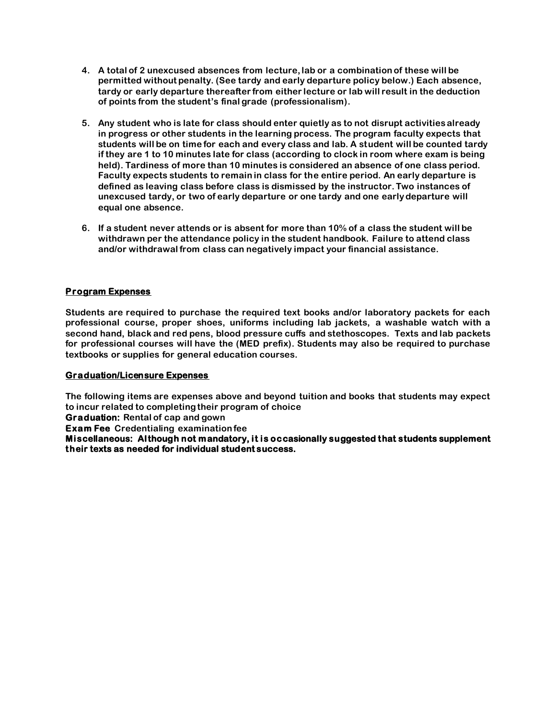- **4. A total of 2 unexcused absences from lecture, lab or a combination of these will be permitted without penalty. (See tardy and early departure policy below.) Each absence, tardy or early departure thereafter from either lecture or lab will result in the deduction of points from the student's final grade (professionalism).**
- **5. Any student who is late for class should enter quietly as to not disrupt activities already in progress or other students in the learning process. The program faculty expects that students will be on time for each and every class and lab. A student will be counted tardy if they are 1 to 10 minutes late for class (according to clock in room where exam is being held). Tardiness of more than 10 minutes is considered an absence of one class period. Faculty expects students to remain in class for the entire period. An early departure is defined as leaving class before class is dismissed by the instructor. Two instances of unexcused tardy, or two of early departure or one tardy and one early departure will equal one absence.**
- **6. If a student never attends or is absent for more than 10% of a class the student will be withdrawn per the attendance policy in the student handbook. Failure to attend class and/or withdrawal from class can negatively impact your financial assistance.**

# **Program Expenses**

**Students are required to purchase the required text books and/or laboratory packets for each professional course, proper shoes, uniforms including lab jackets, a washable watch with a second hand, black and red pens, blood pressure cuffs and stethoscopes. Texts and lab packets for professional courses will have the (MED prefix). Students may also be required to purchase textbooks or supplies for general education courses.** 

#### **Graduation/Licensure Expenses**

**The following items are expenses above and beyond tuition and books that students may expect to incur related to completing their program of choice** 

**Graduation: Rental of cap and gown**

**Exam Fee Credentialing examination fee** 

**Miscellaneous: Although not mandatory, it is occasionally suggested that students supplement their texts as needed for individual student success.**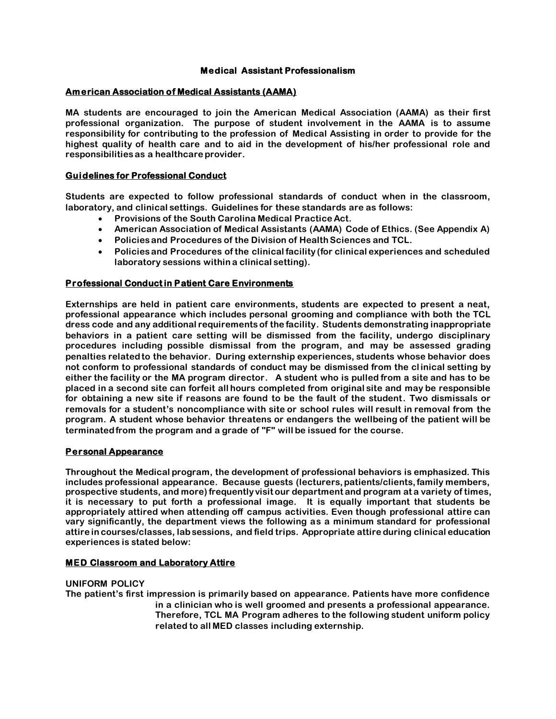# **Medical Assistant Professionalism**

#### **American Association of Medical Assistants (AAMA)**

**MA students are encouraged to join the American Medical Association (AAMA) as their first professional organization. The purpose of student involvement in the AAMA is to assume responsibility for contributing to the profession of Medical Assisting in order to provide for the highest quality of health care and to aid in the development of his/her professional role and responsibilities as a healthcare provider.** 

#### **Guidelines for Professional Conduct**

**Students are expected to follow professional standards of conduct when in the classroom, laboratory, and clinical settings. Guidelines for these standards are as follows:**

- **Provisions of the South Carolina Medical Practice Act.**
- **American Association of Medical Assistants (AAMA) Code of Ethics. (See Appendix A)**
- **Policies and Procedures of the Division of Health Sciences and TCL.**
- **Policies and Procedures of the clinical facility (for clinical experiences and scheduled laboratory sessions within a clinical setting).**

#### **Professional Conduct in Patient Care Environments**

**Externships are held in patient care environments, students are expected to present a neat, professional appearance which includes personal grooming and compliance with both the TCL dress code and any additional requirements of the facility. Students demonstrating inappropriate behaviors in a patient care setting will be dismissed from the facility, undergo disciplinary procedures including possible dismissal from the program, and may be assessed grading penalties related to the behavior. During externship experiences, students whose behavior does not conform to professional standards of conduct may be dismissed from the cl inical setting by either the facility or the MA program director. A student who is pulled from a site and has to be placed in a second site can forfeit all hours completed from original site and may be responsible for obtaining a new site if reasons are found to be the fault of the student. Two dismissals or removals for a student's noncompliance with site or school rules will result in removal from the program. A student whose behavior threatens or endangers the wellbeing of the patient will be terminated from the program and a grade of "F" will be issued for the course.** 

#### **Personal Appearance**

**Throughout the Medical program, the development of professional behaviors is emphasized. This includes professional appearance. Because guests (lecturers, patients/clients, family members, prospective students, and more) frequently visit our department and program at a variety of times, it is necessary to put forth a professional image. It is equally important that students be appropriately attired when attending off campus activities. Even though professional attire can vary significantly, the department views the following as a minimum standard for professional attire in courses/classes, lab sessions, and field trips. Appropriate attire during clinical education experiences is stated below:**

#### **MED Classroom and Laboratory Attire**

#### **UNIFORM POLICY**

**The patient's first impression is primarily based on appearance. Patients have more confidence in a clinician who is well groomed and presents a professional appearance. Therefore, TCL MA Program adheres to the following student uniform policy related to all MED classes including externship.**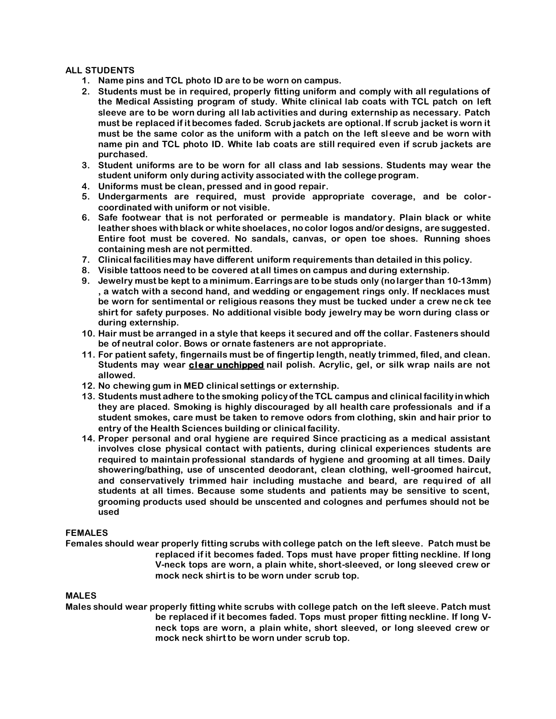#### **ALL STUDENTS**

- **1. Name pins and TCL photo ID are to be worn on campus.**
- **2. Students must be in required, properly fitting uniform and comply with all regulations of the Medical Assisting program of study. White clinical lab coats with TCL patch on left sleeve are to be worn during all lab activities and during externship as necessary. Patch must be replaced if it becomes faded. Scrub jackets are optional. If scrub jacket is worn it must be the same color as the uniform with a patch on the left sleeve and be worn with name pin and TCL photo ID. White lab coats are still required even if scrub jackets are purchased.**
- **3. Student uniforms are to be worn for all class and lab sessions. Students may wear the student uniform only during activity associated with the college program.**
- **4. Uniforms must be clean, pressed and in good repair.**
- **5. Undergarments are required, must provide appropriate coverage, and be color coordinated with uniform or not visible.**
- **6. Safe footwear that is not perforated or permeable is mandatory. Plain black or white leather shoes with black or white shoelaces, no color logos and/or designs, are suggested. Entire foot must be covered. No sandals, canvas, or open toe shoes. Running shoes containing mesh are not permitted.**
- **7. Clinical facilities may have different uniform requirements than detailed in this policy.**
- **8. Visible tattoos need to be covered at all times on campus and during externship.**
- **9. Jewelry must be kept to a minimum. Earrings are to be studs only (no larger than 10-13mm) , a watch with a second hand, and wedding or engagement rings only. If necklaces must be worn for sentimental or religious reasons they must be tucked under a crew neck tee shirt for safety purposes. No additional visible body jewelry may be worn during class or during externship.**
- **10. Hair must be arranged in a style that keeps it secured and off the collar. Fasteners should be of neutral color. Bows or ornate fasteners are not appropriate.**
- **11. For patient safety, fingernails must be of fingertip length, neatly trimmed, filed, and clean. Students may wear clear unchipped nail polish. Acrylic, gel, or silk wrap nails are not allowed.**
- **12. No chewing gum in MED clinical settings or externship.**
- **13. Students must adhere to the smoking policy of the TCL campus and clinical facility in which they are placed. Smoking is highly discouraged by all health care professionals and if a student smokes, care must be taken to remove odors from clothing, skin and hair prior to entry of the Health Sciences building or clinical facility.**
- **14. Proper personal and oral hygiene are required Since practicing as a medical assistant involves close physical contact with patients, during clinical experiences students are required to maintain professional standards of hygiene and grooming at all times. Daily showering/bathing, use of unscented deodorant, clean clothing, well-groomed haircut, and conservatively trimmed hair including mustache and beard, are required of all students at all times. Because some students and patients may be sensitive to scent, grooming products used should be unscented and colognes and perfumes should not be used**

#### **FEMALES**

**Females should wear properly fitting scrubs with college patch on the left sleeve. Patch must be replaced if it becomes faded. Tops must have proper fitting neckline. If long V-neck tops are worn, a plain white, short-sleeved, or long sleeved crew or mock neck shirt is to be worn under scrub top.** 

#### **MALES**

**Males should wear properly fitting white scrubs with college patch on the left sleeve. Patch must be replaced if it becomes faded. Tops must proper fitting neckline. If long Vneck tops are worn, a plain white, short sleeved, or long sleeved crew or mock neck shirt to be worn under scrub top.**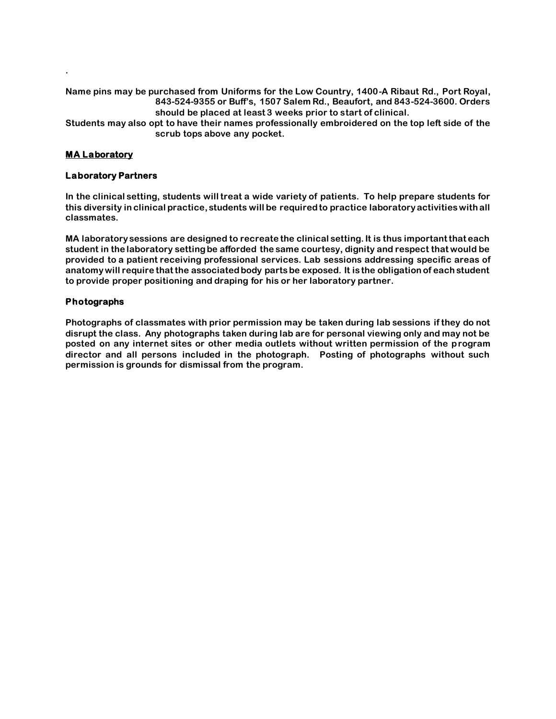**Name pins may be purchased from Uniforms for the Low Country, 1400-A Ribaut Rd., Port Royal, 843-524-9355 or Buff's, 1507 Salem Rd., Beaufort, and 843-524-3600. Orders should be placed at least 3 weeks prior to start of clinical.**

**Students may also opt to have their names professionally embroidered on the top left side of the scrub tops above any pocket.** 

# **MA Laboratory**

**.**

#### **Laboratory Partners**

**In the clinical setting, students will treat a wide variety of patients. To help prepare students for this diversity in clinical practice, students will be required to practice laboratory activities with all classmates.**

**MA laboratory sessions are designed to recreate the clinical setting. It is thus important that each student in the laboratory setting be afforded the same courtesy, dignity and respect that would be provided to a patient receiving professional services. Lab sessions addressing specific areas of anatomy will require that the associated body parts be exposed. It is the obligation of each student to provide proper positioning and draping for his or her laboratory partner.**

#### **Photographs**

**Photographs of classmates with prior permission may be taken during lab sessions if they do not disrupt the class. Any photographs taken during lab are for personal viewing only and may not be posted on any internet sites or other media outlets without written permission of the program director and all persons included in the photograph. Posting of photographs without such permission is grounds for dismissal from the program.**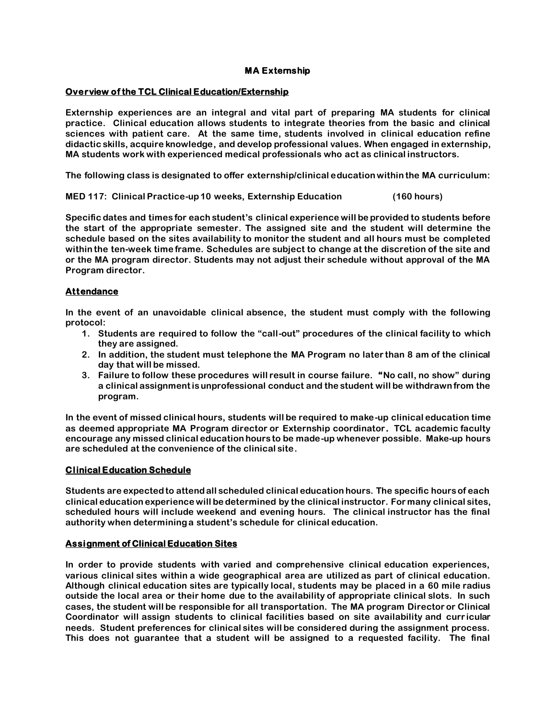#### **MA Externship**

#### **Overview of the TCL Clinical Education/Externship**

**Externship experiences are an integral and vital part of preparing MA students for clinical practice. Clinical education allows students to integrate theories from the basic and clinical sciences with patient care. At the same time, students involved in clinical education refine didactic skills, acquire knowledge, and develop professional values. When engaged in externship, MA students work with experienced medical professionals who act as clinical instructors.** 

**The following class is designated to offer externship/clinical education within the MA curriculum:**

**MED 117: Clinical Practice-up 10 weeks, Externship Education (160 hours)**

**Specific dates and times for each student's clinical experience will be provided to students before the start of the appropriate semester. The assigned site and the student will determine the schedule based on the sites availability to monitor the student and all hours must be completed within the ten-week time frame. Schedules are subject to change at the discretion of the site and or the MA program director. Students may not adjust their schedule without approval of the MA Program director.**

#### **Attendance**

**In the event of an unavoidable clinical absence, the student must comply with the following protocol:** 

- **1. Students are required to follow the "call-out" procedures of the clinical facility to which they are assigned.**
- **2. In addition, the student must telephone the MA Program no later than 8 am of the clinical day that will be missed.**
- **3. Failure to follow these procedures will result in course failure. "No call, no show" during a clinical assignment is unprofessional conduct and the student will be withdrawn from the program.**

**In the event of missed clinical hours, students will be required to make-up clinical education time as deemed appropriate MA Program director or Externship coordinator. TCL academic faculty encourage any missed clinical education hours to be made-up whenever possible. Make-up hours are scheduled at the convenience of the clinical site.**

#### **Clinical Education Schedule**

**Students are expected to attend all scheduled clinical education hours. The specific hours of each clinical education experience will be determined by the clinical instructor. For many clinical sites, scheduled hours will include weekend and evening hours. The clinical instructor has the final authority when determining a student's schedule for clinical education.** 

#### **Assignment of Clinical Education Sites**

**In order to provide students with varied and comprehensive clinical education experiences, various clinical sites within a wide geographical area are utilized as part of clinical education. Although clinical education sites are typically local, students may be placed in a 60 mile radius outside the local area or their home due to the availability of appropriate clinical slots. In such cases, the student will be responsible for all transportation. The MA program Director or Clinical Coordinator will assign students to clinical facilities based on site availability and curr icular needs. Student preferences for clinical sites will be considered during the assignment process. This does not guarantee that a student will be assigned to a requested facility. The final**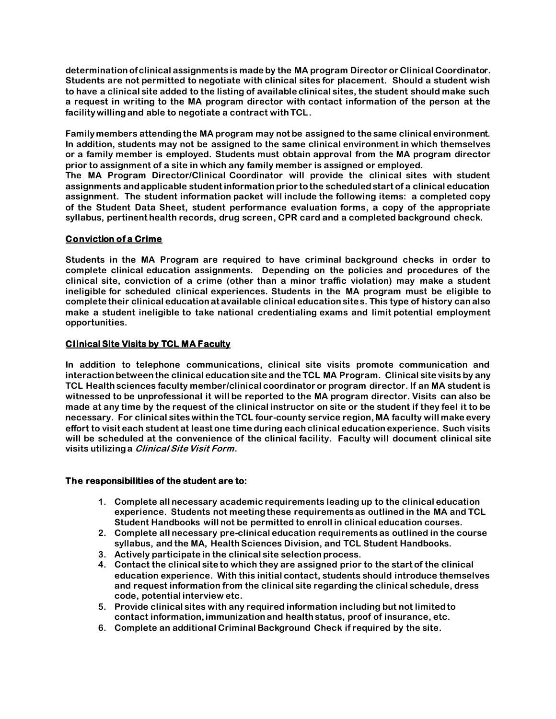**determination of clinical assignments is made by the MA program Director or Clinical Coordinator. Students are not permitted to negotiate with clinical sites for placement. Should a student wish to have a clinical site added to the listing of available clinical sites, the student should make such a request in writing to the MA program director with contact information of the person at the facility willing and able to negotiate a contract with TCL.** 

**Family members attending the MA program may not be assigned to the same clinical environment. In addition, students may not be assigned to the same clinical environment in which themselves or a family member is employed. Students must obtain approval from the MA program director prior to assignment of a site in which any family member is assigned or employed.** 

**The MA Program Director/Clinical Coordinator will provide the clinical sites with student assignments and applicable student information prior to the scheduled start of a clinical education assignment. The student information packet will include the following items: a completed copy of the Student Data Sheet, student performance evaluation forms, a copy of the appropriate syllabus, pertinent health records, drug screen, CPR card and a completed background check.**

# **Conviction of a Crime**

**Students in the MA Program are required to have criminal background checks in order to complete clinical education assignments. Depending on the policies and procedures of the clinical site, conviction of a crime (other than a minor traffic violation) may make a student ineligible for scheduled clinical experiences. Students in the MA program must be eligible to complete their clinical education at available clinical education sites. This type of history can also make a student ineligible to take national credentialing exams and limit potential employment opportunities.**

# **Clinical Site Visits by TCL MA Faculty**

**In addition to telephone communications, clinical site visits promote communication and interaction between the clinical education site and the TCL MA Program. Clinical site visits by any TCL Health sciences faculty member/clinical coordinator or program director. If an MA student is witnessed to be unprofessional it will be reported to the MA program director. Visits can also be made at any time by the request of the clinical instructor on site or the student if they feel it to be necessary. For clinical sites within the TCL four-county service region, MA faculty will make every effort to visit each student at least one time during each clinical education experience. Such visits will be scheduled at the convenience of the clinical facility. Faculty will document clinical site visits utilizing a Clinical Site Visit Form.** 

#### **The responsibilities of the student are to:**

- **1. Complete all necessary academic requirements leading up to the clinical education experience. Students not meeting these requirements as outlined in the MA and TCL Student Handbooks will not be permitted to enroll in clinical education courses.**
- **2. Complete all necessary pre-clinical education requirements as outlined in the course syllabus, and the MA, Health Sciences Division, and TCL Student Handbooks.**
- **3. Actively participate in the clinical site selection process.**
- **4. Contact the clinical site to which they are assigned prior to the start of the clinical education experience. With this initial contact, students should introduce themselves and request information from the clinical site regarding the clinical schedule, dress code, potential interview etc.**
- **5. Provide clinical sites with any required information including but not limited to contact information, immunization and health status, proof of insurance, etc.**
- **6. Complete an additional Criminal Background Check if required by the site.**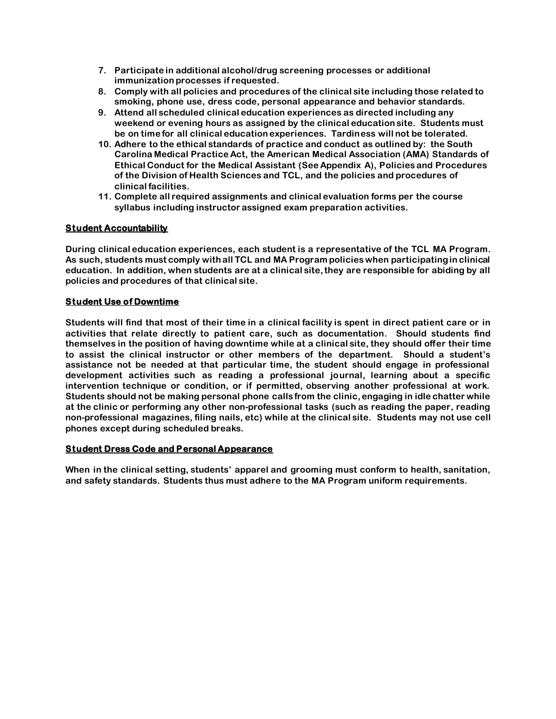- **7. Participate in additional alcohol/drug screening processes or additional immunization processes if requested.**
- **8. Comply with all policies and procedures of the clinical site including those related to smoking, phone use, dress code, personal appearance and behavior standards.**
- **9. Attend all scheduled clinical education experiences as directed including any weekend or evening hours as assigned by the clinical education site. Students must be on time for all clinical education experiences. Tardiness will not be tolerated.**
- **10. Adhere to the ethical standards of practice and conduct as outlined by: the South Carolina Medical Practice Act, the American Medical Association (AMA) Standards of Ethical Conduct for the Medical Assistant (See Appendix A), Policies and Procedures of the Division of Health Sciences and TCL, and the policies and procedures of clinical facilities.**
- **11. Complete all required assignments and clinical evaluation forms per the course syllabus including instructor assigned exam preparation activities.**

# **Student Accountability**

**During clinical education experiences, each student is a representative of the TCL MA Program. As such, students must comply with all TCL and MA Program policies when participating in clinical education. In addition, when students are at a clinical site, they are responsible for abiding by all policies and procedures of that clinical site.** 

# **Student Use of Downtime**

**Students will find that most of their time in a clinical facility is spent in direct patient care or in activities that relate directly to patient care, such as documentation. Should students find themselves in the position of having downtime while at a clinical site, they should offer their time to assist the clinical instructor or other members of the department. Should a student's assistance not be needed at that particular time, the student should engage in professional development activities such as reading a professional journal, learning about a specific intervention technique or condition, or if permitted, observing another professional at work. Students should not be making personal phone calls from the clinic, engaging in idle chatter while at the clinic or performing any other non-professional tasks (such as reading the paper, reading non-professional magazines, filing nails, etc) while at the clinical site. Students may not use cell phones except during scheduled breaks.**

#### **Student Dress Code and Personal Appearance**

**When in the clinical setting, students' apparel and grooming must conform to health, sanitation, and safety standards. Students thus must adhere to the MA Program uniform requirements.**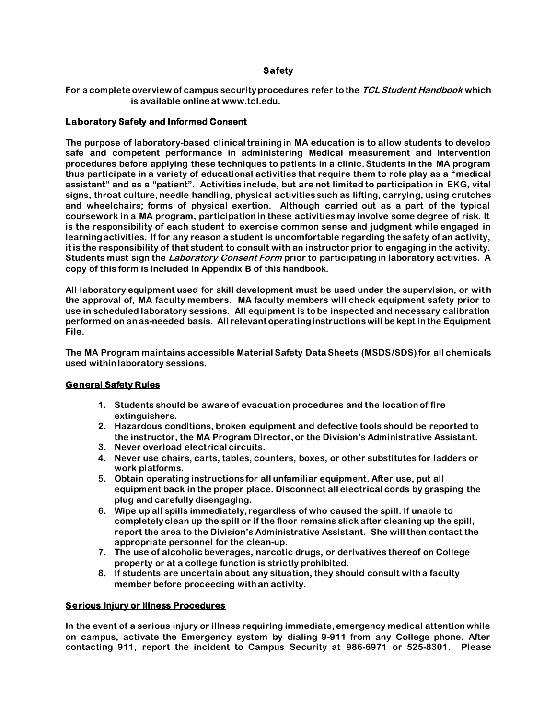# **Safety**

**For a complete overview of campus security procedures refer to the TCLStudent Handbook which is available online at www.tcl.edu.**

#### **Laboratory Safety and Informed Consent**

**The purpose of laboratory-based clinical training in MA education is to allow students to develop safe and competent performance in administering Medical measurement and intervention procedures before applying these techniques to patients in a clinic. Students in the MA program thus participate in a variety of educational activities that require them to role play as a "medical assistant" and as a "patient". Activities include, but are not limited to participation in EKG, vital signs, throat culture, needle handling, physical activities such as lifting, carrying, using crutches and wheelchairs; forms of physical exertion. Although carried out as a part of the typical coursework in a MA program, participation in these activities may involve some degree of risk. It is the responsibility of each student to exercise common sense and judgment while engaged in learning activities. If for any reason a student is uncomfortable regarding the safety of an activity, it is the responsibility of that student to consult with an instructor prior to engaging in the activity. Students must sign the Laboratory Consent Form prior to participating in laboratory activities. A copy of this form is included in Appendix B of this handbook.**

All laboratory equipment used for skill development must be used under the supervision, or with **the approval of, MA faculty members. MA faculty members will check equipment safety prior to use in scheduled laboratory sessions. All equipment is to be inspected and necessary calibration performed on an as-needed basis. All relevant operating instructions will be kept in the Equipment File.** 

**The MA Program maintains accessible Material Safety Data Sheets (MSDS/SDS) for all chemicals used within laboratory sessions.** 

#### **General Safety Rules**

- **1. Students should be aware of evacuation procedures and the location of fire extinguishers.**
- **2. Hazardous conditions, broken equipment and defective tools should be reported to the instructor, the MA Program Director, or the Division's Administrative Assistant.**
- **3. Never overload electrical circuits.**
- **4. Never use chairs, carts, tables, counters, boxes, or other substitutes for ladders or work platforms.**
- **5. Obtain operating instructions for all unfamiliar equipment. After use, put all equipment back in the proper place. Disconnect all electrical cords by grasping the plug and carefully disengaging.**
- **6. Wipe up all spills immediately, regardless of who caused the spill. If unable to completely clean up the spill or if the floor remains slick after cleaning up the spill, report the area to the Division's Administrative Assistant. She will then contact the appropriate personnel for the clean-up.**
- **7. The use of alcoholic beverages, narcotic drugs, or derivatives thereof on College property or at a college function is strictly prohibited.**
- **8. If students are uncertain about any situation, they should consult with a faculty member before proceeding with an activity.**

#### **Serious Injury or Illness Procedures**

**In the event of a serious injury or illness requiring immediate, emergency medical attention while on campus, activate the Emergency system by dialing 9-911 from any College phone. After contacting 911, report the incident to Campus Security at 986-6971 or 525-8301. Please**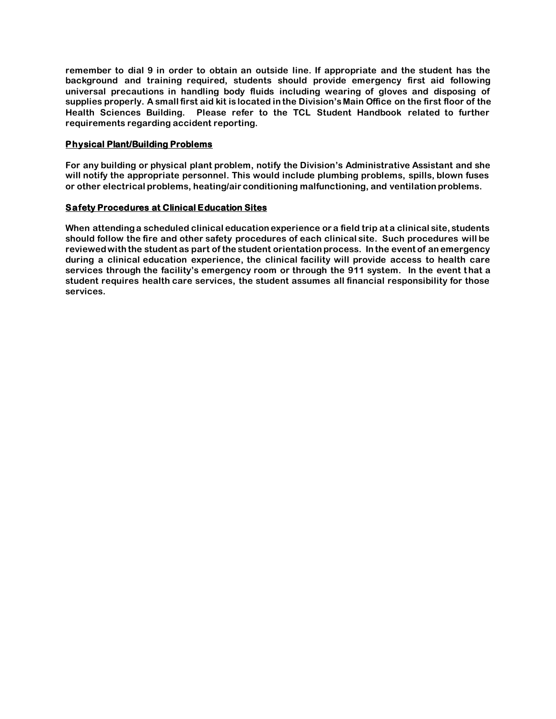**remember to dial 9 in order to obtain an outside line. If appropriate and the student has the background and training required, students should provide emergency first aid following universal precautions in handling body fluids including wearing of gloves and disposing of supplies properly. A small first aid kit is located in the Division's Main Office on the first floor of the Health Sciences Building. Please refer to the TCL Student Handbook related to further requirements regarding accident reporting.** 

# **Physical Plant/Building Problems**

**For any building or physical plant problem, notify the Division's Administrative Assistant and she will notify the appropriate personnel. This would include plumbing problems, spills, blown fuses or other electrical problems, heating/air conditioning malfunctioning, and ventilation problems.**

# **Safety Procedures at Clinical Education Sites**

**When attending a scheduled clinical education experience or a field trip at a clinical site, students should follow the fire and other safety procedures of each clinical site. Such procedures will be reviewed with the student as part of the student orientation process. In the event of an emergency during a clinical education experience, the clinical facility will provide access to health care services through the facility's emergency room or through the 911 system. In the event t hat a student requires health care services, the student assumes all financial responsibility for those services.**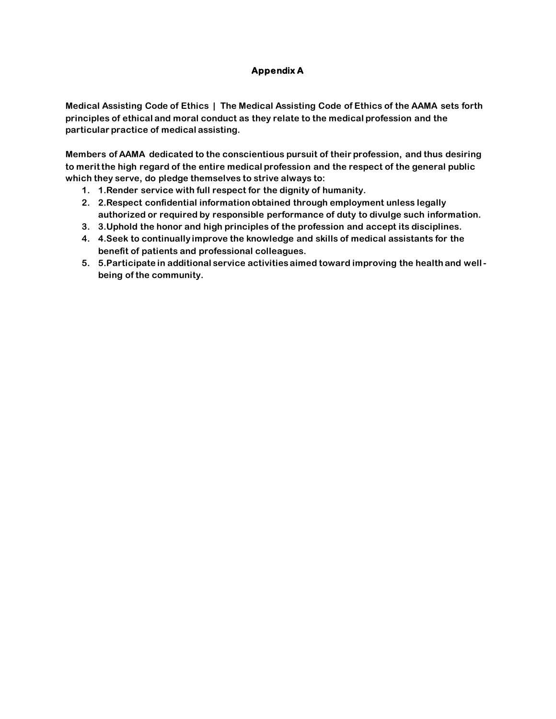# **Appendix A**

**Medical Assisting Code of Ethics | The Medical Assisting Code of Ethics of the AAMA sets forth principles of ethical and moral conduct as they relate to the medical profession and the particular practice of medical assisting.**

**Members of AAMA dedicated to the conscientious pursuit of their profession, and thus desiring to merit the high regard of the entire medical profession and the respect of the general public which they serve, do pledge themselves to strive always to:** 

- **1. 1.Render service with full respect for the dignity of humanity.**
- **2. 2.Respect confidential information obtained through employment unless legally authorized or required by responsible performance of duty to divulge such information.**
- **3. 3.Uphold the honor and high principles of the profession and accept its disciplines.**
- **4. 4.Seek to continually improve the knowledge and skills of medical assistants for the benefit of patients and professional colleagues.**
- **5. 5.Participate in additional service activities aimed toward improving the health and wellbeing of the community.**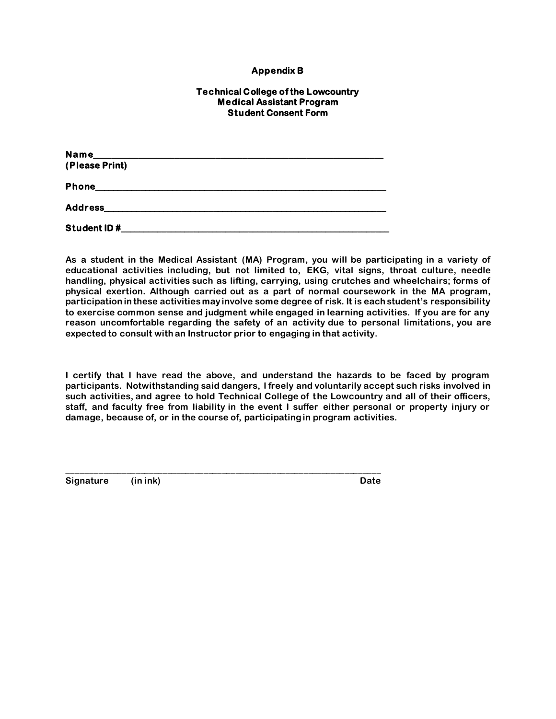# **Appendix B**

#### **Technical College of the Lowcountry Medical Assistant Program Student Consent Form**

| Name                      |  |
|---------------------------|--|
| (Please Print)            |  |
|                           |  |
| Phone <b>Example 2018</b> |  |
|                           |  |
|                           |  |
| Student ID#               |  |

**\_\_\_\_\_\_\_\_\_\_\_\_\_\_\_\_\_\_\_\_\_\_\_\_\_\_\_\_\_\_\_\_\_\_\_\_\_\_\_\_\_\_\_\_\_\_\_\_\_\_\_\_\_\_\_\_\_\_\_\_\_\_\_\_\_\_\_\_\_**

**As a student in the Medical Assistant (MA) Program, you will be participating in a variety of educational activities including, but not limited to, EKG, vital signs, throat culture, needle handling, physical activities such as lifting, carrying, using crutches and wheelchairs; forms of physical exertion. Although carried out as a part of normal coursework in the MA program, participation in these activities may involve some degree of risk. It is each student's responsibility to exercise common sense and judgment while engaged in learning activities. If you are for any reason uncomfortable regarding the safety of an activity due to personal limitations, you are expected to consult with an Instructor prior to engaging in that activity.**

**I certify that I have read the above, and understand the hazards to be faced by program participants. Notwithstanding said dangers, I freely and voluntarily accept such risks involved in such activities, and agree to hold Technical College of the Lowcountry and all of their officers, staff, and faculty free from liability in the event I suffer either personal or property injury or damage, because of, or in the course of, participating in program activities.**

**Signature (in ink) Date**